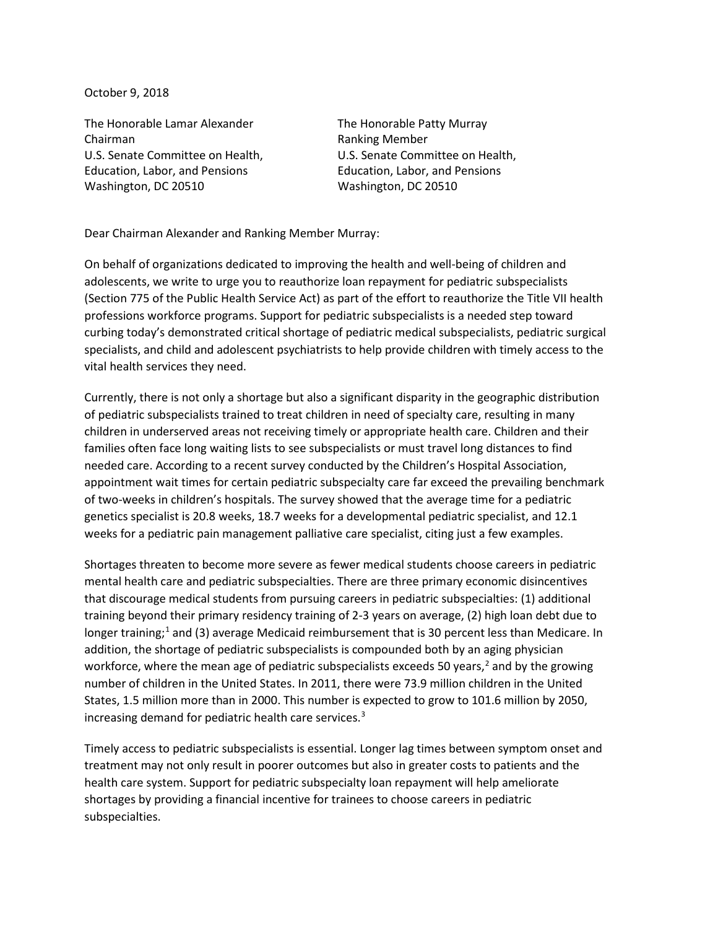October 9, 2018

The Honorable Lamar Alexander The Honorable Patty Murray Chairman **Ranking Member** Ranking Member Education, Labor, and Pensions Education, Labor, and Pensions Washington, DC 20510 Washington, DC 20510

U.S. Senate Committee on Health, U.S. Senate Committee on Health,

Dear Chairman Alexander and Ranking Member Murray:

On behalf of organizations dedicated to improving the health and well-being of children and adolescents, we write to urge you to reauthorize loan repayment for pediatric subspecialists (Section 775 of the Public Health Service Act) as part of the effort to reauthorize the Title VII health professions workforce programs. Support for pediatric subspecialists is a needed step toward curbing today's demonstrated critical shortage of pediatric medical subspecialists, pediatric surgical specialists, and child and adolescent psychiatrists to help provide children with timely access to the vital health services they need.

Currently, there is not only a shortage but also a significant disparity in the geographic distribution of pediatric subspecialists trained to treat children in need of specialty care, resulting in many children in underserved areas not receiving timely or appropriate health care. Children and their families often face long waiting lists to see subspecialists or must travel long distances to find needed care. According to a recent survey conducted by the Children's Hospital Association, appointment wait times for certain pediatric subspecialty care far exceed the prevailing benchmark of two-weeks in children's hospitals. The survey showed that the average time for a pediatric genetics specialist is 20.8 weeks, 18.7 weeks for a developmental pediatric specialist, and 12.1 weeks for a pediatric pain management palliative care specialist, citing just a few examples.

Shortages threaten to become more severe as fewer medical students choose careers in pediatric mental health care and pediatric subspecialties. There are three primary economic disincentives that discourage medical students from pursuing careers in pediatric subspecialties: (1) additional training beyond their primary residency training of 2-3 years on average, (2) high loan debt due to longer training;<sup>[1](#page-2-0)</sup> and (3) average Medicaid reimbursement that is 30 percent less than Medicare. In addition, the shortage of pediatric subspecialists is compounded both by an aging physician workforce, where the mean age of pediatric subspecialists exceeds 50 years, $<sup>2</sup>$  $<sup>2</sup>$  $<sup>2</sup>$  and by the growing</sup> number of children in the United States. In 2011, there were 73.9 million children in the United States, 1.5 million more than in 2000. This number is expected to grow to 101.6 million by 2050, increasing demand for pediatric health care services.<sup>[3](#page-2-2)</sup>

Timely access to pediatric subspecialists is essential. Longer lag times between symptom onset and treatment may not only result in poorer outcomes but also in greater costs to patients and the health care system. Support for pediatric subspecialty loan repayment will help ameliorate shortages by providing a financial incentive for trainees to choose careers in pediatric subspecialties.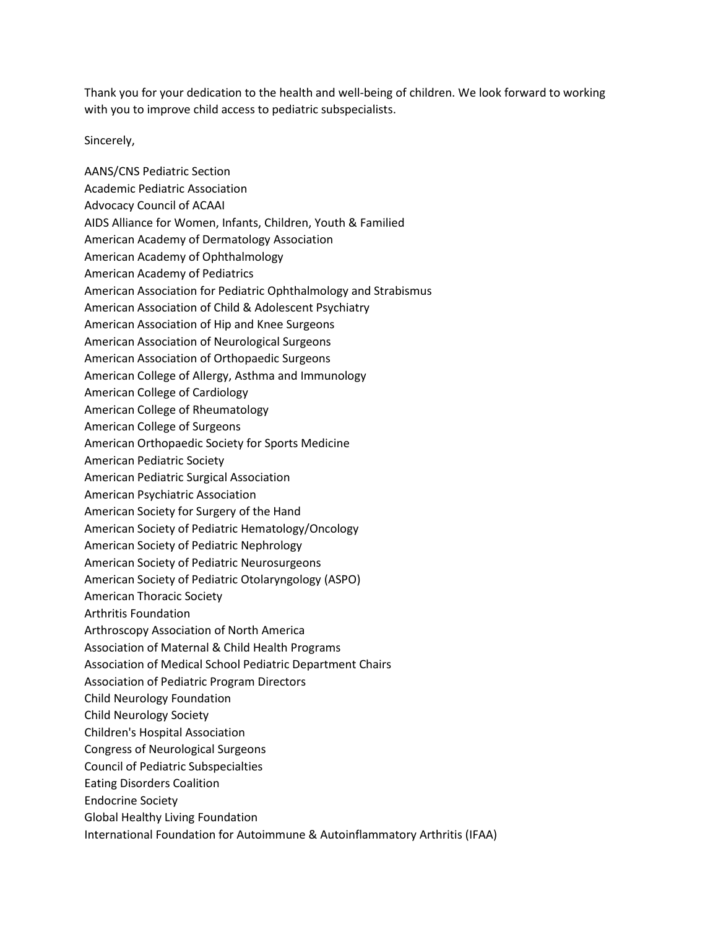Thank you for your dedication to the health and well-being of children. We look forward to working with you to improve child access to pediatric subspecialists.

Sincerely,

AANS/CNS Pediatric Section Academic Pediatric Association Advocacy Council of ACAAI AIDS Alliance for Women, Infants, Children, Youth & Familied American Academy of Dermatology Association American Academy of Ophthalmology American Academy of Pediatrics American Association for Pediatric Ophthalmology and Strabismus American Association of Child & Adolescent Psychiatry American Association of Hip and Knee Surgeons American Association of Neurological Surgeons American Association of Orthopaedic Surgeons American College of Allergy, Asthma and Immunology American College of Cardiology American College of Rheumatology American College of Surgeons American Orthopaedic Society for Sports Medicine American Pediatric Society American Pediatric Surgical Association American Psychiatric Association American Society for Surgery of the Hand American Society of Pediatric Hematology/Oncology American Society of Pediatric Nephrology American Society of Pediatric Neurosurgeons American Society of Pediatric Otolaryngology (ASPO) American Thoracic Society Arthritis Foundation Arthroscopy Association of North America Association of Maternal & Child Health Programs Association of Medical School Pediatric Department Chairs Association of Pediatric Program Directors Child Neurology Foundation Child Neurology Society Children's Hospital Association Congress of Neurological Surgeons Council of Pediatric Subspecialties Eating Disorders Coalition Endocrine Society Global Healthy Living Foundation International Foundation for Autoimmune & Autoinflammatory Arthritis (IFAA)